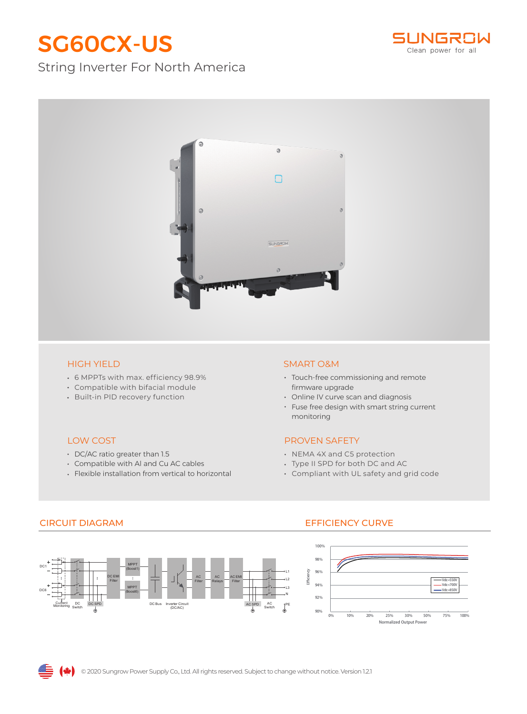# SG60CX-US

## String Inverter For North America





- 6 MPPTs with max. efficiency 98.9%
- Compatible with bifacial module
- Built-in PID recovery function

#### LOW COST

- DC/AC ratio greater than 1.5
- Compatible with Al and Cu AC cables
- Flexible installation from vertical to horizontal

#### HIGH YIELD SMART O&M

- Touch-free commissioning and remote firmware upgrade
- Online IV curve scan and diagnosis
- Fuse free design with smart string current monitoring

### PROVEN SAFETY

- NEMA 4X and C5 protection
- Type II SPD for both DC and AC
- Compliant with UL safety and grid code

#### AC Switch DC Switch DC1 DC6 ( L1 PE L2 L3 Current Monitoring DC SPD DC Bus Inverter Circuit AC SPD (DC/AC) AC Filter AC Relays DC EMI Filter MPPT Boost6) MPPT (Boost1) AC EMI Filter N

## CIRCUIT DIAGRAM EFFICIENCY CURVE